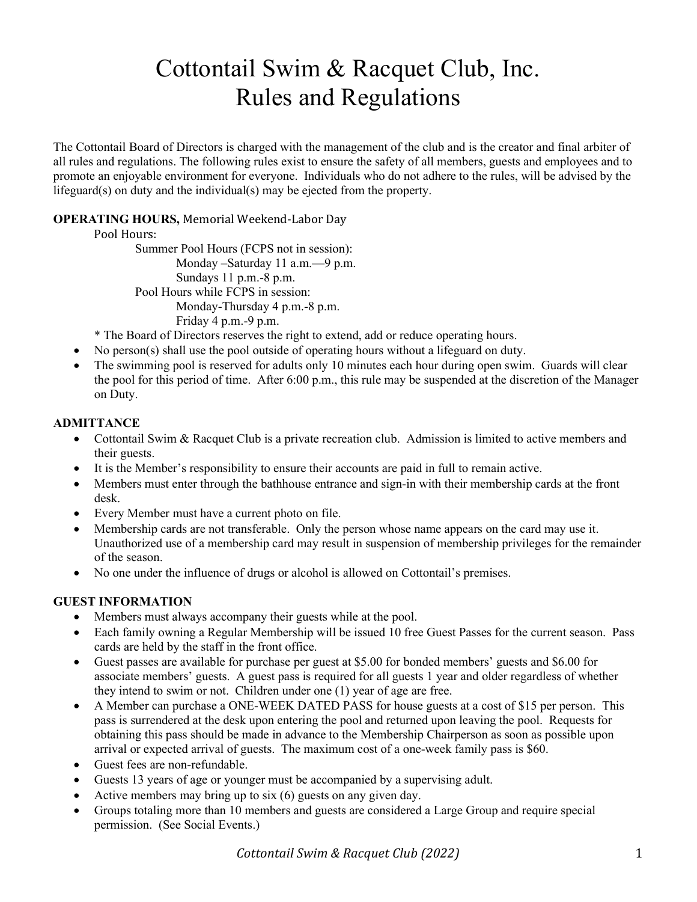# Cottontail Swim & Racquet Club, Inc. Rules and Regulations

The Cottontail Board of Directors is charged with the management of the club and is the creator and final arbiter of all rules and regulations. The following rules exist to ensure the safety of all members, guests and employees and to promote an enjoyable environment for everyone. Individuals who do not adhere to the rules, will be advised by the lifeguard(s) on duty and the individual(s) may be ejected from the property.

# OPERATING HOURS, Memorial Weekend-Labor Day

#### Pool Hours:

Summer Pool Hours (FCPS not in session): Monday –Saturday 11 a.m.—9 p.m. Sundays 11 p.m.-8 p.m. Pool Hours while FCPS in session: Monday-Thursday 4 p.m.-8 p.m. Friday 4 p.m.-9 p.m.

\* The Board of Directors reserves the right to extend, add or reduce operating hours.

- No person(s) shall use the pool outside of operating hours without a lifeguard on duty.
- The swimming pool is reserved for adults only 10 minutes each hour during open swim. Guards will clear the pool for this period of time. After 6:00 p.m., this rule may be suspended at the discretion of the Manager on Duty.

## **ADMITTANCE**

- Cottontail Swim & Racquet Club is a private recreation club. Admission is limited to active members and their guests.
- It is the Member's responsibility to ensure their accounts are paid in full to remain active.
- Members must enter through the bathhouse entrance and sign-in with their membership cards at the front desk.
- Every Member must have a current photo on file.
- Membership cards are not transferable. Only the person whose name appears on the card may use it. Unauthorized use of a membership card may result in suspension of membership privileges for the remainder of the season.
- No one under the influence of drugs or alcohol is allowed on Cottontail's premises.

#### GUEST INFORMATION

- Members must always accompany their guests while at the pool.
- Each family owning a Regular Membership will be issued 10 free Guest Passes for the current season. Pass cards are held by the staff in the front office.
- Guest passes are available for purchase per guest at \$5.00 for bonded members' guests and \$6.00 for associate members' guests. A guest pass is required for all guests 1 year and older regardless of whether they intend to swim or not. Children under one (1) year of age are free.
- A Member can purchase a ONE-WEEK DATED PASS for house guests at a cost of \$15 per person. This pass is surrendered at the desk upon entering the pool and returned upon leaving the pool. Requests for obtaining this pass should be made in advance to the Membership Chairperson as soon as possible upon arrival or expected arrival of guests. The maximum cost of a one-week family pass is \$60.
- Guest fees are non-refundable.
- Guests 13 years of age or younger must be accompanied by a supervising adult.
- Active members may bring up to six (6) guests on any given day.
- Groups totaling more than 10 members and guests are considered a Large Group and require special permission. (See Social Events.)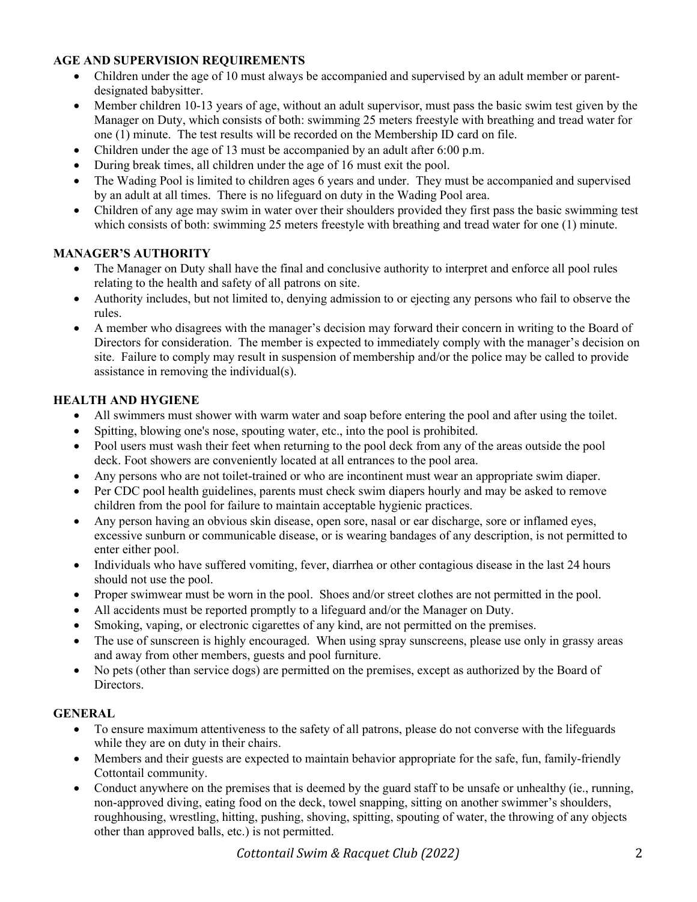## AGE AND SUPERVISION REQUIREMENTS

- Children under the age of 10 must always be accompanied and supervised by an adult member or parentdesignated babysitter.
- Member children 10-13 years of age, without an adult supervisor, must pass the basic swim test given by the Manager on Duty, which consists of both: swimming 25 meters freestyle with breathing and tread water for one (1) minute. The test results will be recorded on the Membership ID card on file.
- Children under the age of 13 must be accompanied by an adult after 6:00 p.m.
- During break times, all children under the age of 16 must exit the pool.
- The Wading Pool is limited to children ages 6 years and under. They must be accompanied and supervised by an adult at all times. There is no lifeguard on duty in the Wading Pool area.
- Children of any age may swim in water over their shoulders provided they first pass the basic swimming test which consists of both: swimming 25 meters freestyle with breathing and tread water for one (1) minute.

# MANAGER'S AUTHORITY

- The Manager on Duty shall have the final and conclusive authority to interpret and enforce all pool rules relating to the health and safety of all patrons on site.
- Authority includes, but not limited to, denying admission to or ejecting any persons who fail to observe the rules.
- A member who disagrees with the manager's decision may forward their concern in writing to the Board of Directors for consideration. The member is expected to immediately comply with the manager's decision on site. Failure to comply may result in suspension of membership and/or the police may be called to provide assistance in removing the individual(s).

## HEALTH AND HYGIENE

- All swimmers must shower with warm water and soap before entering the pool and after using the toilet.
- Spitting, blowing one's nose, spouting water, etc., into the pool is prohibited.
- Pool users must wash their feet when returning to the pool deck from any of the areas outside the pool deck. Foot showers are conveniently located at all entrances to the pool area.
- Any persons who are not toilet-trained or who are incontinent must wear an appropriate swim diaper.
- Per CDC pool health guidelines, parents must check swim diapers hourly and may be asked to remove children from the pool for failure to maintain acceptable hygienic practices.
- Any person having an obvious skin disease, open sore, nasal or ear discharge, sore or inflamed eyes, excessive sunburn or communicable disease, or is wearing bandages of any description, is not permitted to enter either pool.
- Individuals who have suffered vomiting, fever, diarrhea or other contagious disease in the last 24 hours should not use the pool.
- Proper swimwear must be worn in the pool. Shoes and/or street clothes are not permitted in the pool.
- All accidents must be reported promptly to a lifeguard and/or the Manager on Duty.
- Smoking, vaping, or electronic cigarettes of any kind, are not permitted on the premises.
- The use of sunscreen is highly encouraged. When using spray sunscreens, please use only in grassy areas and away from other members, guests and pool furniture.
- No pets (other than service dogs) are permitted on the premises, except as authorized by the Board of Directors.

# **GENERAL**

- To ensure maximum attentiveness to the safety of all patrons, please do not converse with the lifeguards while they are on duty in their chairs.
- Members and their guests are expected to maintain behavior appropriate for the safe, fun, family-friendly Cottontail community.
- Conduct anywhere on the premises that is deemed by the guard staff to be unsafe or unhealthy (ie., running, non-approved diving, eating food on the deck, towel snapping, sitting on another swimmer's shoulders, roughhousing, wrestling, hitting, pushing, shoving, spitting, spouting of water, the throwing of any objects other than approved balls, etc.) is not permitted.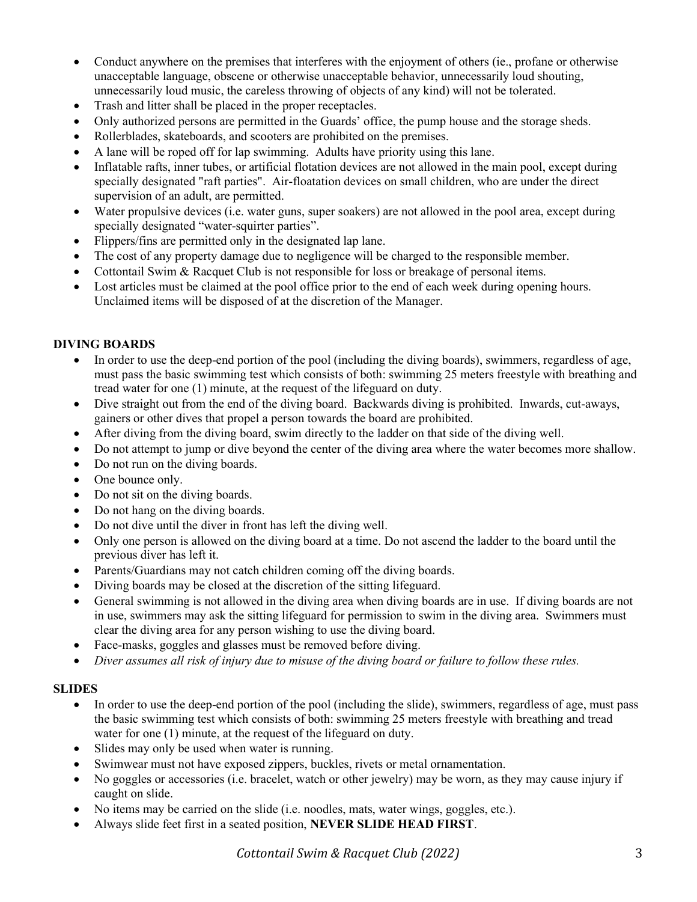- Conduct anywhere on the premises that interferes with the enjoyment of others (ie., profane or otherwise unacceptable language, obscene or otherwise unacceptable behavior, unnecessarily loud shouting, unnecessarily loud music, the careless throwing of objects of any kind) will not be tolerated.
- Trash and litter shall be placed in the proper receptacles.
- Only authorized persons are permitted in the Guards' office, the pump house and the storage sheds.
- Rollerblades, skateboards, and scooters are prohibited on the premises.
- A lane will be roped off for lap swimming. Adults have priority using this lane.
- Inflatable rafts, inner tubes, or artificial flotation devices are not allowed in the main pool, except during specially designated "raft parties". Air-floatation devices on small children, who are under the direct supervision of an adult, are permitted.
- Water propulsive devices (i.e. water guns, super soakers) are not allowed in the pool area, except during specially designated "water-squirter parties".
- Flippers/fins are permitted only in the designated lap lane.
- The cost of any property damage due to negligence will be charged to the responsible member.
- Cottontail Swim & Racquet Club is not responsible for loss or breakage of personal items.
- Lost articles must be claimed at the pool office prior to the end of each week during opening hours. Unclaimed items will be disposed of at the discretion of the Manager.

#### DIVING BOARDS

- In order to use the deep-end portion of the pool (including the diving boards), swimmers, regardless of age, must pass the basic swimming test which consists of both: swimming 25 meters freestyle with breathing and tread water for one (1) minute, at the request of the lifeguard on duty.
- Dive straight out from the end of the diving board. Backwards diving is prohibited. Inwards, cut-aways, gainers or other dives that propel a person towards the board are prohibited.
- After diving from the diving board, swim directly to the ladder on that side of the diving well.
- Do not attempt to jump or dive beyond the center of the diving area where the water becomes more shallow.
- Do not run on the diving boards.
- One bounce only.
- Do not sit on the diving boards.
- Do not hang on the diving boards.
- Do not dive until the diver in front has left the diving well.
- Only one person is allowed on the diving board at a time. Do not ascend the ladder to the board until the previous diver has left it.
- Parents/Guardians may not catch children coming off the diving boards.
- Diving boards may be closed at the discretion of the sitting lifeguard.
- General swimming is not allowed in the diving area when diving boards are in use. If diving boards are not in use, swimmers may ask the sitting lifeguard for permission to swim in the diving area. Swimmers must clear the diving area for any person wishing to use the diving board.
- Face-masks, goggles and glasses must be removed before diving.
- Diver assumes all risk of injury due to misuse of the diving board or failure to follow these rules.

#### **SLIDES**

- In order to use the deep-end portion of the pool (including the slide), swimmers, regardless of age, must pass the basic swimming test which consists of both: swimming 25 meters freestyle with breathing and tread water for one (1) minute, at the request of the lifeguard on duty.
- Slides may only be used when water is running.
- Swimwear must not have exposed zippers, buckles, rivets or metal ornamentation.
- No goggles or accessories (i.e. bracelet, watch or other jewelry) may be worn, as they may cause injury if caught on slide.
- No items may be carried on the slide (i.e. noodles, mats, water wings, goggles, etc.).
- Always slide feet first in a seated position, NEVER SLIDE HEAD FIRST.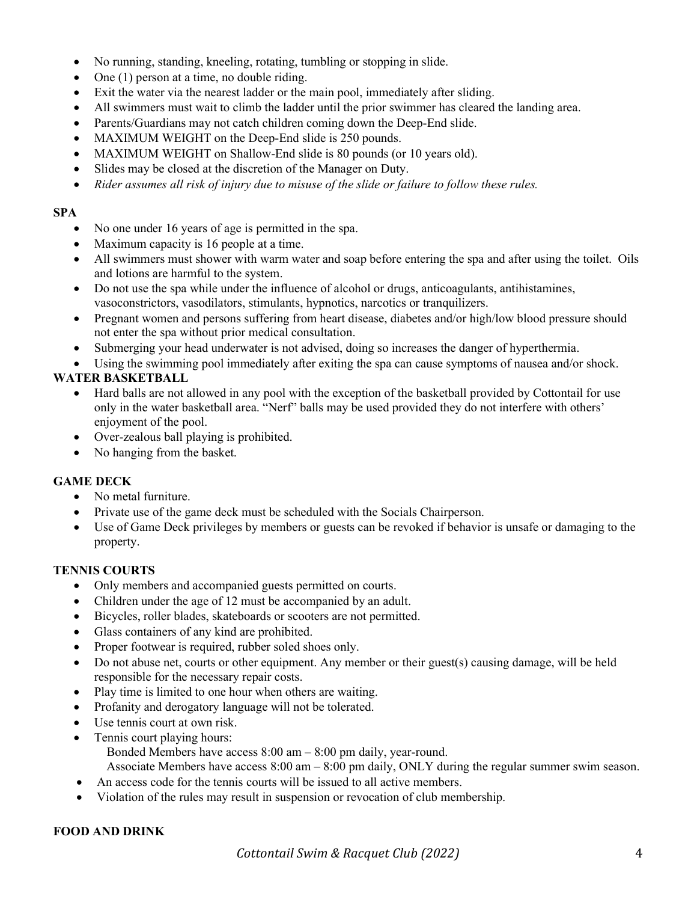- No running, standing, kneeling, rotating, tumbling or stopping in slide.
- $\bullet$  One (1) person at a time, no double riding.
- Exit the water via the nearest ladder or the main pool, immediately after sliding.
- All swimmers must wait to climb the ladder until the prior swimmer has cleared the landing area.
- Parents/Guardians may not catch children coming down the Deep-End slide.
- MAXIMUM WEIGHT on the Deep-End slide is 250 pounds.
- MAXIMUM WEIGHT on Shallow-End slide is 80 pounds (or 10 years old).
- Slides may be closed at the discretion of the Manager on Duty.
- Rider assumes all risk of injury due to misuse of the slide or failure to follow these rules.

#### SPA

- No one under 16 years of age is permitted in the spa.
- Maximum capacity is 16 people at a time.
- All swimmers must shower with warm water and soap before entering the spa and after using the toilet. Oils and lotions are harmful to the system.
- Do not use the spa while under the influence of alcohol or drugs, anticoagulants, antihistamines, vasoconstrictors, vasodilators, stimulants, hypnotics, narcotics or tranquilizers.
- Pregnant women and persons suffering from heart disease, diabetes and/or high/low blood pressure should not enter the spa without prior medical consultation.
- Submerging your head underwater is not advised, doing so increases the danger of hyperthermia.

Using the swimming pool immediately after exiting the spa can cause symptoms of nausea and/or shock.

#### WATER BASKETBALL

- Hard balls are not allowed in any pool with the exception of the basketball provided by Cottontail for use only in the water basketball area. "Nerf" balls may be used provided they do not interfere with others' enjoyment of the pool.
- Over-zealous ball playing is prohibited.
- No hanging from the basket.

#### GAME DECK

- No metal furniture.
- Private use of the game deck must be scheduled with the Socials Chairperson.
- Use of Game Deck privileges by members or guests can be revoked if behavior is unsafe or damaging to the property.

#### TENNIS COURTS

- Only members and accompanied guests permitted on courts.
- Children under the age of 12 must be accompanied by an adult.
- Bicycles, roller blades, skateboards or scooters are not permitted.
- Glass containers of any kind are prohibited.
- Proper footwear is required, rubber soled shoes only.
- Do not abuse net, courts or other equipment. Any member or their guest(s) causing damage, will be held responsible for the necessary repair costs.
- Play time is limited to one hour when others are waiting.
- Profanity and derogatory language will not be tolerated.
- Use tennis court at own risk.
- Tennis court playing hours:
	- Bonded Members have access 8:00 am 8:00 pm daily, year-round.

Associate Members have access 8:00 am – 8:00 pm daily, ONLY during the regular summer swim season.

- An access code for the tennis courts will be issued to all active members.
- Violation of the rules may result in suspension or revocation of club membership.

#### FOOD AND DRINK